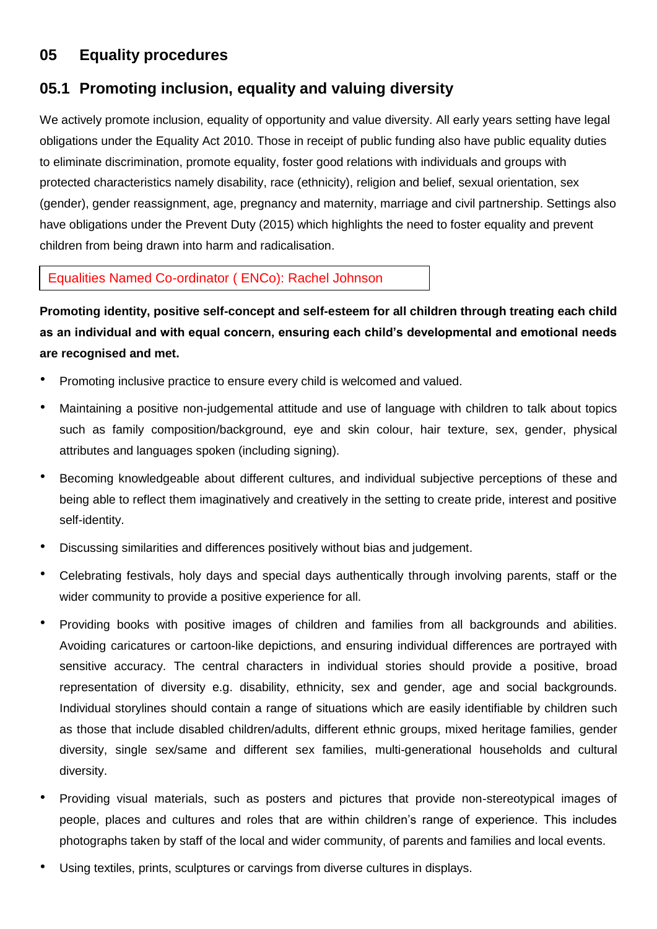# **05 Equality procedures**

# **05.1 Promoting inclusion, equality and valuing diversity**

We actively promote inclusion, equality of opportunity and value diversity. All early years setting have legal obligations under the Equality Act 2010. Those in receipt of public funding also have public equality duties to eliminate discrimination, promote equality, foster good relations with individuals and groups with protected characteristics namely disability, race (ethnicity), religion and belief, sexual orientation, sex (gender), gender reassignment, age, pregnancy and maternity, marriage and civil partnership. Settings also have obligations under the Prevent Duty (2015) which highlights the need to foster equality and prevent children from being drawn into harm and radicalisation.

Equalities Named Co-ordinator ( ENCo): Rachel Johnson

**Promoting identity, positive self-concept and self-esteem for all children through treating each child as an individual and with equal concern, ensuring each child's developmental and emotional needs are recognised and met.**

- Promoting inclusive practice to ensure every child is welcomed and valued.
- Maintaining a positive non-judgemental attitude and use of language with children to talk about topics such as family composition/background, eye and skin colour, hair texture, sex, gender, physical attributes and languages spoken (including signing).
- Becoming knowledgeable about different cultures, and individual subjective perceptions of these and being able to reflect them imaginatively and creatively in the setting to create pride, interest and positive self-identity.
- Discussing similarities and differences positively without bias and judgement.
- Celebrating festivals, holy days and special days authentically through involving parents, staff or the wider community to provide a positive experience for all.
- Providing books with positive images of children and families from all backgrounds and abilities. Avoiding caricatures or cartoon-like depictions, and ensuring individual differences are portrayed with sensitive accuracy. The central characters in individual stories should provide a positive, broad representation of diversity e.g. disability, ethnicity, sex and gender, age and social backgrounds. Individual storylines should contain a range of situations which are easily identifiable by children such as those that include disabled children/adults, different ethnic groups, mixed heritage families, gender diversity, single sex/same and different sex families, multi-generational households and cultural diversity.
- Providing visual materials, such as posters and pictures that provide non-stereotypical images of people, places and cultures and roles that are within children's range of experience. This includes photographs taken by staff of the local and wider community, of parents and families and local events.
- Using textiles, prints, sculptures or carvings from diverse cultures in displays.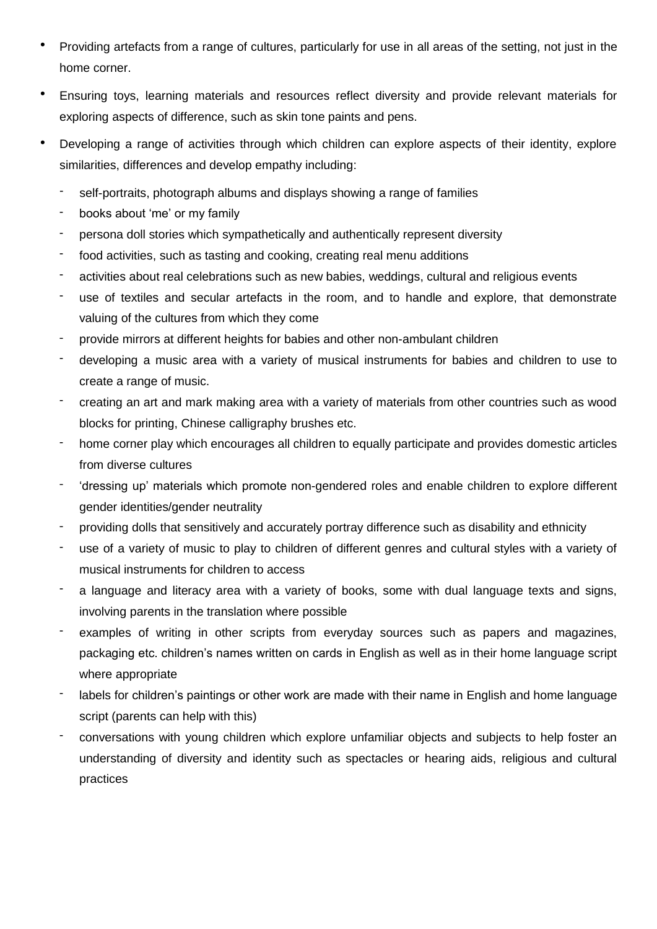- Providing artefacts from a range of cultures, particularly for use in all areas of the setting, not just in the home corner.
- Ensuring toys, learning materials and resources reflect diversity and provide relevant materials for exploring aspects of difference, such as skin tone paints and pens.
- Developing a range of activities through which children can explore aspects of their identity, explore similarities, differences and develop empathy including:
	- self-portraits, photograph albums and displays showing a range of families
	- books about 'me' or my family
	- persona doll stories which sympathetically and authentically represent diversity
	- food activities, such as tasting and cooking, creating real menu additions
	- activities about real celebrations such as new babies, weddings, cultural and religious events
	- use of textiles and secular artefacts in the room, and to handle and explore, that demonstrate valuing of the cultures from which they come
	- provide mirrors at different heights for babies and other non-ambulant children
	- developing a music area with a variety of musical instruments for babies and children to use to create a range of music.
	- creating an art and mark making area with a variety of materials from other countries such as wood blocks for printing, Chinese calligraphy brushes etc.
	- home corner play which encourages all children to equally participate and provides domestic articles from diverse cultures
	- 'dressing up' materials which promote non-gendered roles and enable children to explore different gender identities/gender neutrality
	- providing dolls that sensitively and accurately portray difference such as disability and ethnicity
	- use of a variety of music to play to children of different genres and cultural styles with a variety of musical instruments for children to access
	- a language and literacy area with a variety of books, some with dual language texts and signs, involving parents in the translation where possible
	- examples of writing in other scripts from everyday sources such as papers and magazines, packaging etc. children's names written on cards in English as well as in their home language script where appropriate
	- labels for children's paintings or other work are made with their name in English and home language script (parents can help with this)
	- conversations with young children which explore unfamiliar objects and subjects to help foster an understanding of diversity and identity such as spectacles or hearing aids, religious and cultural practices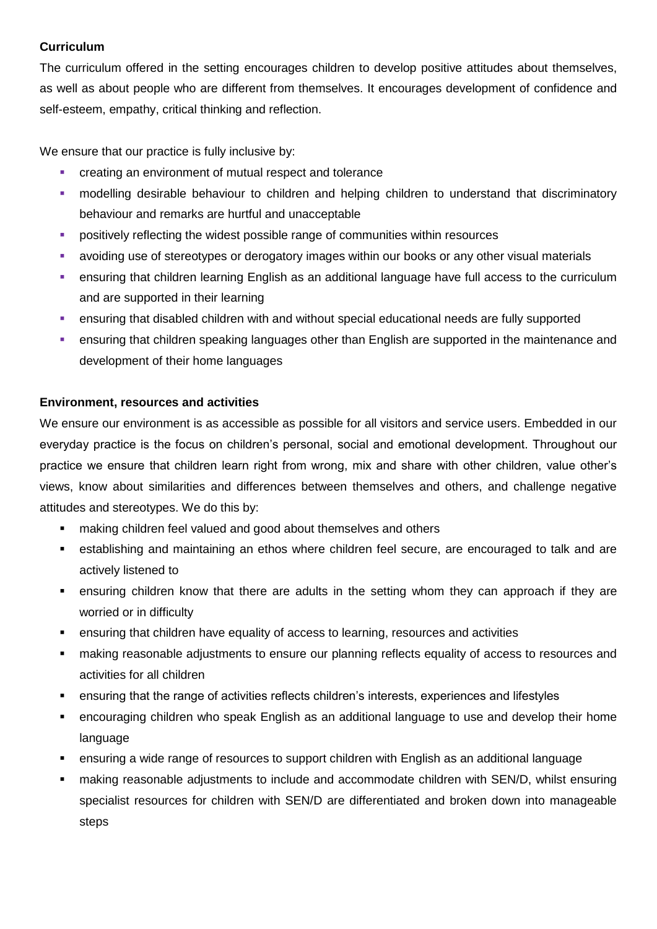## **Curriculum**

The curriculum offered in the setting encourages children to develop positive attitudes about themselves, as well as about people who are different from themselves. It encourages development of confidence and self-esteem, empathy, critical thinking and reflection.

We ensure that our practice is fully inclusive by:

- creating an environment of mutual respect and tolerance
- modelling desirable behaviour to children and helping children to understand that discriminatory behaviour and remarks are hurtful and unacceptable
- **•** positively reflecting the widest possible range of communities within resources
- avoiding use of stereotypes or derogatory images within our books or any other visual materials
- ensuring that children learning English as an additional language have full access to the curriculum and are supported in their learning
- ensuring that disabled children with and without special educational needs are fully supported
- ensuring that children speaking languages other than English are supported in the maintenance and development of their home languages

### **Environment, resources and activities**

We ensure our environment is as accessible as possible for all visitors and service users. Embedded in our everyday practice is the focus on children's personal, social and emotional development. Throughout our practice we ensure that children learn right from wrong, mix and share with other children, value other's views, know about similarities and differences between themselves and others, and challenge negative attitudes and stereotypes. We do this by:

- **EXECT** making children feel valued and good about themselves and others
- establishing and maintaining an ethos where children feel secure, are encouraged to talk and are actively listened to
- ensuring children know that there are adults in the setting whom they can approach if they are worried or in difficulty
- ensuring that children have equality of access to learning, resources and activities
- making reasonable adjustments to ensure our planning reflects equality of access to resources and activities for all children
- ensuring that the range of activities reflects children's interests, experiences and lifestyles
- encouraging children who speak English as an additional language to use and develop their home language
- ensuring a wide range of resources to support children with English as an additional language
- making reasonable adjustments to include and accommodate children with SEN/D, whilst ensuring specialist resources for children with SEN/D are differentiated and broken down into manageable steps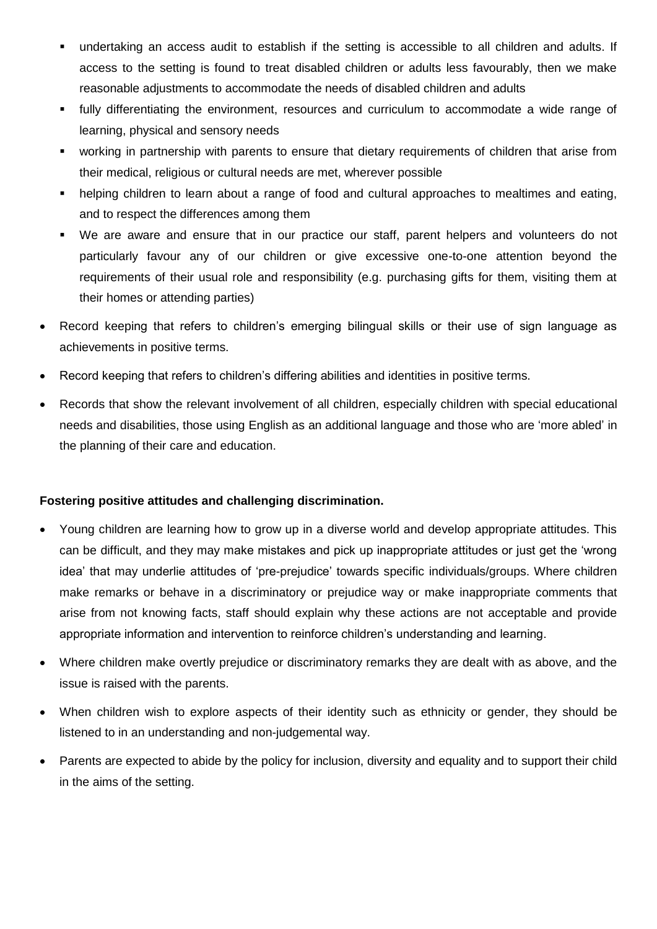- undertaking an access audit to establish if the setting is accessible to all children and adults. If access to the setting is found to treat disabled children or adults less favourably, then we make reasonable adjustments to accommodate the needs of disabled children and adults
- fully differentiating the environment, resources and curriculum to accommodate a wide range of learning, physical and sensory needs
- working in partnership with parents to ensure that dietary requirements of children that arise from their medical, religious or cultural needs are met, wherever possible
- helping children to learn about a range of food and cultural approaches to mealtimes and eating, and to respect the differences among them
- We are aware and ensure that in our practice our staff, parent helpers and volunteers do not particularly favour any of our children or give excessive one-to-one attention beyond the requirements of their usual role and responsibility (e.g. purchasing gifts for them, visiting them at their homes or attending parties)
- Record keeping that refers to children's emerging bilingual skills or their use of sign language as achievements in positive terms.
- Record keeping that refers to children's differing abilities and identities in positive terms.
- Records that show the relevant involvement of all children, especially children with special educational needs and disabilities, those using English as an additional language and those who are 'more abled' in the planning of their care and education.

## **Fostering positive attitudes and challenging discrimination.**

- Young children are learning how to grow up in a diverse world and develop appropriate attitudes. This can be difficult, and they may make mistakes and pick up inappropriate attitudes or just get the 'wrong idea' that may underlie attitudes of 'pre-prejudice' towards specific individuals/groups. Where children make remarks or behave in a discriminatory or prejudice way or make inappropriate comments that arise from not knowing facts, staff should explain why these actions are not acceptable and provide appropriate information and intervention to reinforce children's understanding and learning.
- Where children make overtly prejudice or discriminatory remarks they are dealt with as above, and the issue is raised with the parents.
- When children wish to explore aspects of their identity such as ethnicity or gender, they should be listened to in an understanding and non-judgemental way.
- Parents are expected to abide by the policy for inclusion, diversity and equality and to support their child in the aims of the setting.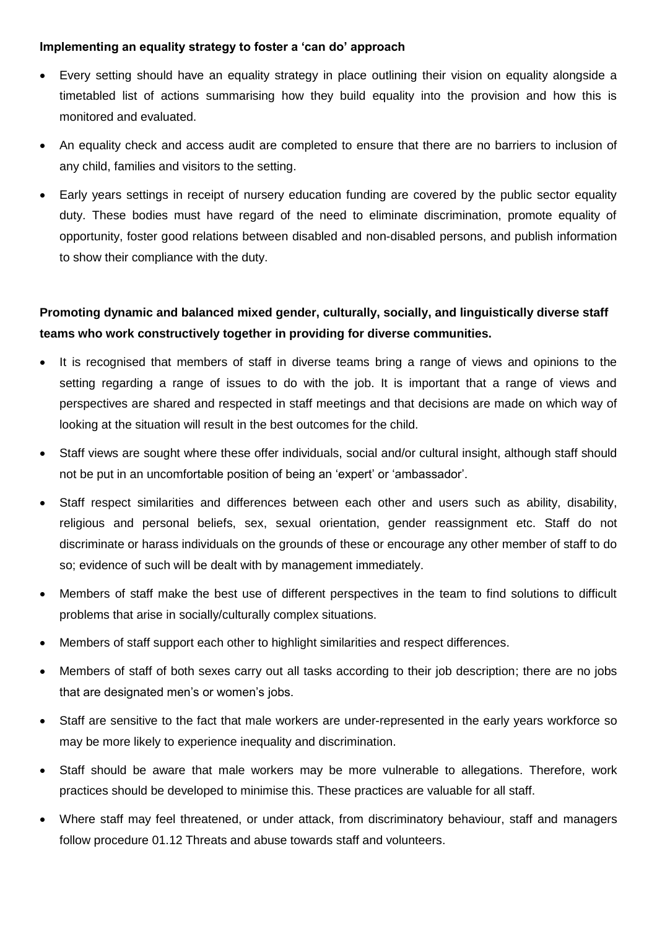#### **Implementing an equality strategy to foster a 'can do' approach**

- Every setting should have an equality strategy in place outlining their vision on equality alongside a timetabled list of actions summarising how they build equality into the provision and how this is monitored and evaluated.
- An equality check and access audit are completed to ensure that there are no barriers to inclusion of any child, families and visitors to the setting.
- Early years settings in receipt of nursery education funding are covered by the public sector equality duty. These bodies must have regard of the need to eliminate discrimination, promote equality of opportunity, foster good relations between disabled and non-disabled persons, and publish information to show their compliance with the duty.

## **Promoting dynamic and balanced mixed gender, culturally, socially, and linguistically diverse staff teams who work constructively together in providing for diverse communities.**

- It is recognised that members of staff in diverse teams bring a range of views and opinions to the setting regarding a range of issues to do with the job. It is important that a range of views and perspectives are shared and respected in staff meetings and that decisions are made on which way of looking at the situation will result in the best outcomes for the child.
- Staff views are sought where these offer individuals, social and/or cultural insight, although staff should not be put in an uncomfortable position of being an 'expert' or 'ambassador'.
- Staff respect similarities and differences between each other and users such as ability, disability, religious and personal beliefs, sex, sexual orientation, gender reassignment etc. Staff do not discriminate or harass individuals on the grounds of these or encourage any other member of staff to do so; evidence of such will be dealt with by management immediately.
- Members of staff make the best use of different perspectives in the team to find solutions to difficult problems that arise in socially/culturally complex situations.
- Members of staff support each other to highlight similarities and respect differences.
- Members of staff of both sexes carry out all tasks according to their job description; there are no jobs that are designated men's or women's jobs.
- Staff are sensitive to the fact that male workers are under-represented in the early years workforce so may be more likely to experience inequality and discrimination.
- Staff should be aware that male workers may be more vulnerable to allegations. Therefore, work practices should be developed to minimise this. These practices are valuable for all staff.
- Where staff may feel threatened, or under attack, from discriminatory behaviour, staff and managers follow procedure 01.12 Threats and abuse towards staff and volunteers.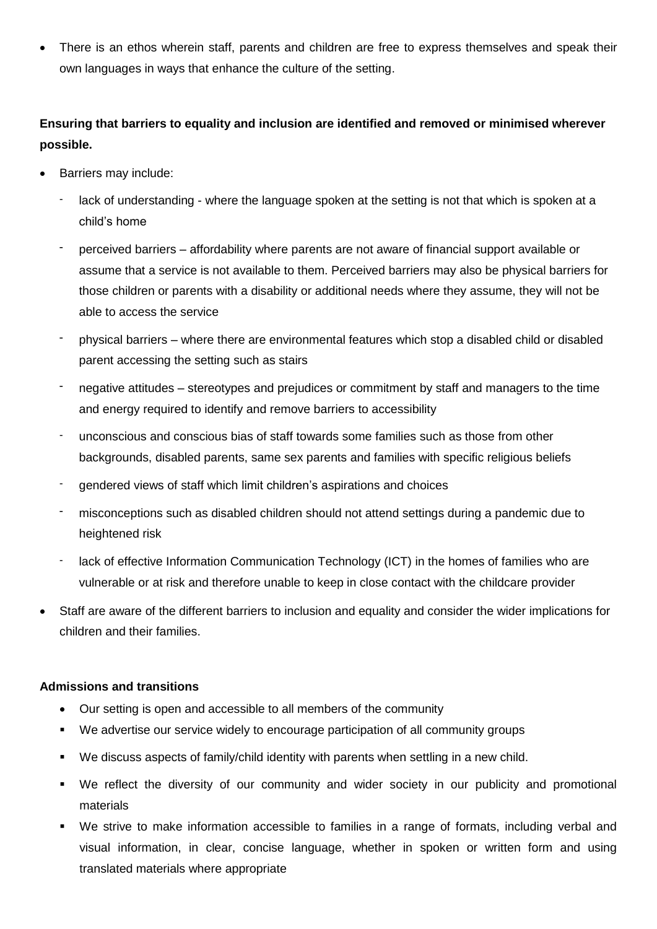There is an ethos wherein staff, parents and children are free to express themselves and speak their own languages in ways that enhance the culture of the setting.

## **Ensuring that barriers to equality and inclusion are identified and removed or minimised wherever possible.**

- Barriers may include:
	- lack of understanding where the language spoken at the setting is not that which is spoken at a child's home
	- perceived barriers affordability where parents are not aware of financial support available or assume that a service is not available to them. Perceived barriers may also be physical barriers for those children or parents with a disability or additional needs where they assume, they will not be able to access the service
	- physical barriers where there are environmental features which stop a disabled child or disabled parent accessing the setting such as stairs
	- negative attitudes stereotypes and prejudices or commitment by staff and managers to the time and energy required to identify and remove barriers to accessibility
	- unconscious and conscious bias of staff towards some families such as those from other backgrounds, disabled parents, same sex parents and families with specific religious beliefs
	- gendered views of staff which limit children's aspirations and choices
	- misconceptions such as disabled children should not attend settings during a pandemic due to heightened risk
	- lack of effective Information Communication Technology (ICT) in the homes of families who are vulnerable or at risk and therefore unable to keep in close contact with the childcare provider
- Staff are aware of the different barriers to inclusion and equality and consider the wider implications for children and their families.

#### **Admissions and transitions**

- Our setting is open and accessible to all members of the community
- We advertise our service widely to encourage participation of all community groups
- We discuss aspects of family/child identity with parents when settling in a new child.
- We reflect the diversity of our community and wider society in our publicity and promotional materials
- We strive to make information accessible to families in a range of formats, including verbal and visual information, in clear, concise language, whether in spoken or written form and using translated materials where appropriate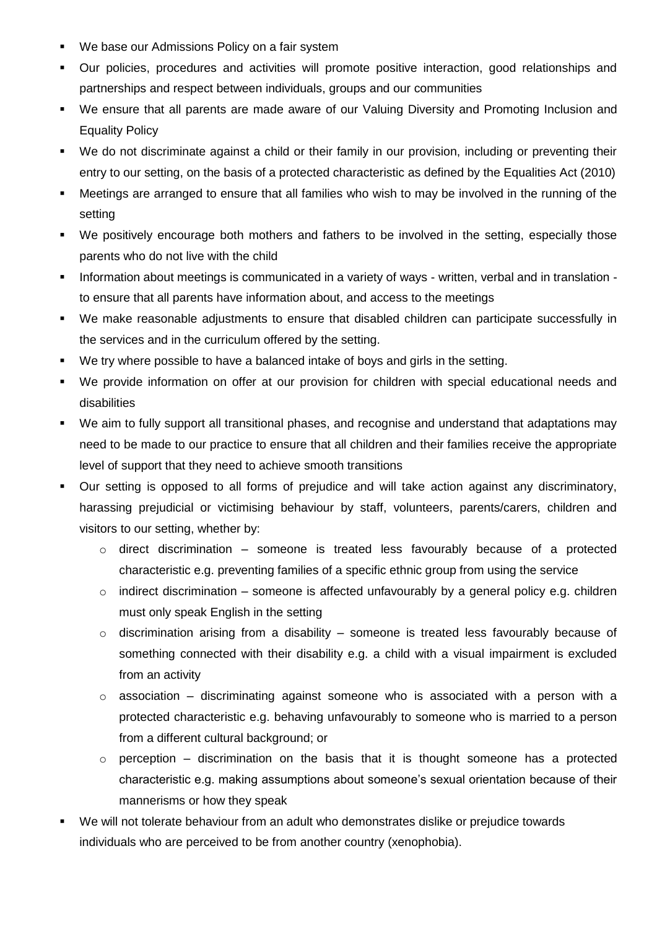- We base our Admissions Policy on a fair system
- Our policies, procedures and activities will promote positive interaction, good relationships and partnerships and respect between individuals, groups and our communities
- We ensure that all parents are made aware of our Valuing Diversity and Promoting Inclusion and Equality Policy
- We do not discriminate against a child or their family in our provision, including or preventing their entry to our setting, on the basis of a protected characteristic as defined by the Equalities Act (2010)
- Meetings are arranged to ensure that all families who wish to may be involved in the running of the setting
- We positively encourage both mothers and fathers to be involved in the setting, especially those parents who do not live with the child
- Information about meetings is communicated in a variety of ways written, verbal and in translation to ensure that all parents have information about, and access to the meetings
- We make reasonable adjustments to ensure that disabled children can participate successfully in the services and in the curriculum offered by the setting.
- We try where possible to have a balanced intake of boys and girls in the setting.
- We provide information on offer at our provision for children with special educational needs and disabilities
- We aim to fully support all transitional phases, and recognise and understand that adaptations may need to be made to our practice to ensure that all children and their families receive the appropriate level of support that they need to achieve smooth transitions
- Our setting is opposed to all forms of prejudice and will take action against any discriminatory, harassing prejudicial or victimising behaviour by staff, volunteers, parents/carers, children and visitors to our setting, whether by:
	- $\circ$  direct discrimination someone is treated less favourably because of a protected characteristic e.g. preventing families of a specific ethnic group from using the service
	- $\circ$  indirect discrimination someone is affected unfavourably by a general policy e.g. children must only speak English in the setting
	- o discrimination arising from a disability someone is treated less favourably because of something connected with their disability e.g. a child with a visual impairment is excluded from an activity
	- $\circ$  association discriminating against someone who is associated with a person with a protected characteristic e.g. behaving unfavourably to someone who is married to a person from a different cultural background; or
	- $\circ$  perception discrimination on the basis that it is thought someone has a protected characteristic e.g. making assumptions about someone's sexual orientation because of their mannerisms or how they speak
- We will not tolerate behaviour from an adult who demonstrates dislike or prejudice towards individuals who are perceived to be from another country (xenophobia).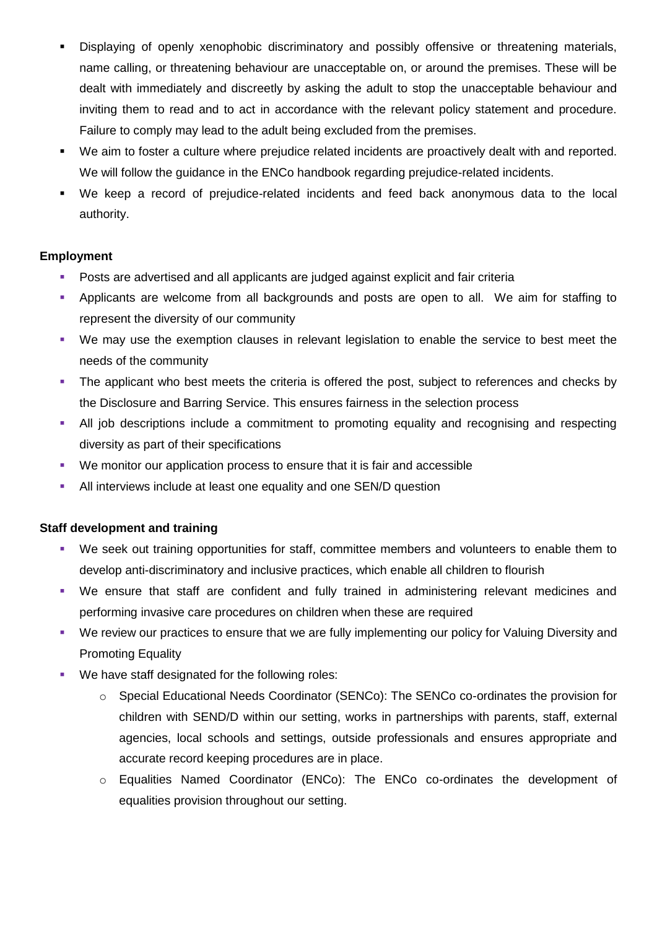- Displaying of openly xenophobic discriminatory and possibly offensive or threatening materials, name calling, or threatening behaviour are unacceptable on, or around the premises. These will be dealt with immediately and discreetly by asking the adult to stop the unacceptable behaviour and inviting them to read and to act in accordance with the relevant policy statement and procedure. Failure to comply may lead to the adult being excluded from the premises.
- We aim to foster a culture where prejudice related incidents are proactively dealt with and reported. We will follow the guidance in the ENCo handbook regarding prejudice-related incidents.
- We keep a record of prejudice-related incidents and feed back anonymous data to the local authority.

## **Employment**

- Posts are advertised and all applicants are judged against explicit and fair criteria
- Applicants are welcome from all backgrounds and posts are open to all. We aim for staffing to represent the diversity of our community
- We may use the exemption clauses in relevant legislation to enable the service to best meet the needs of the community
- The applicant who best meets the criteria is offered the post, subject to references and checks by the Disclosure and Barring Service. This ensures fairness in the selection process
- All job descriptions include a commitment to promoting equality and recognising and respecting diversity as part of their specifications
- We monitor our application process to ensure that it is fair and accessible
- All interviews include at least one equality and one SEN/D question

## **Staff development and training**

- We seek out training opportunities for staff, committee members and volunteers to enable them to develop anti-discriminatory and inclusive practices, which enable all children to flourish
- We ensure that staff are confident and fully trained in administering relevant medicines and performing invasive care procedures on children when these are required
- We review our practices to ensure that we are fully implementing our policy for Valuing Diversity and Promoting Equality
- We have staff designated for the following roles:
	- o Special Educational Needs Coordinator (SENCo): The SENCo co-ordinates the provision for children with SEND/D within our setting, works in partnerships with parents, staff, external agencies, local schools and settings, outside professionals and ensures appropriate and accurate record keeping procedures are in place.
	- o Equalities Named Coordinator (ENCo): The ENCo co-ordinates the development of equalities provision throughout our setting.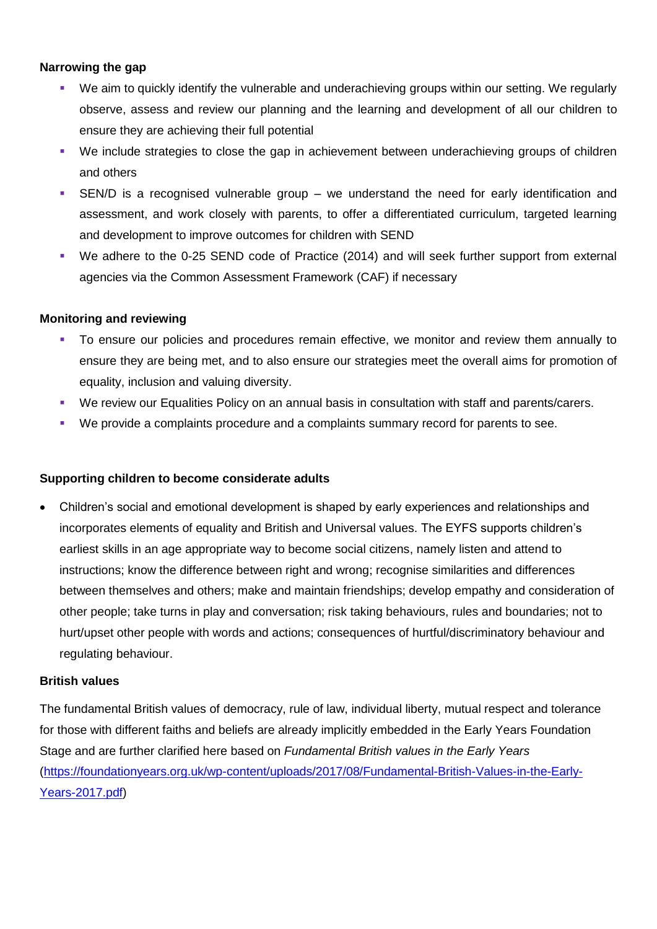#### **Narrowing the gap**

- We aim to quickly identify the vulnerable and underachieving groups within our setting. We regularly observe, assess and review our planning and the learning and development of all our children to ensure they are achieving their full potential
- We include strategies to close the gap in achievement between underachieving groups of children and others
- SEN/D is a recognised vulnerable group we understand the need for early identification and assessment, and work closely with parents, to offer a differentiated curriculum, targeted learning and development to improve outcomes for children with SEND
- We adhere to the 0-25 SEND code of Practice (2014) and will seek further support from external agencies via the Common Assessment Framework (CAF) if necessary

### **Monitoring and reviewing**

- To ensure our policies and procedures remain effective, we monitor and review them annually to ensure they are being met, and to also ensure our strategies meet the overall aims for promotion of equality, inclusion and valuing diversity.
- We review our Equalities Policy on an annual basis in consultation with staff and parents/carers.
- We provide a complaints procedure and a complaints summary record for parents to see.

#### **Supporting children to become considerate adults**

 Children's social and emotional development is shaped by early experiences and relationships and incorporates elements of equality and British and Universal values. The EYFS supports children's earliest skills in an age appropriate way to become social citizens, namely listen and attend to instructions; know the difference between right and wrong; recognise similarities and differences between themselves and others; make and maintain friendships; develop empathy and consideration of other people; take turns in play and conversation; risk taking behaviours, rules and boundaries; not to hurt/upset other people with words and actions; consequences of hurtful/discriminatory behaviour and regulating behaviour.

#### **British values**

The fundamental British values of democracy, rule of law, individual liberty, mutual respect and tolerance for those with different faiths and beliefs are already implicitly embedded in the Early Years Foundation Stage and are further clarified here based on *Fundamental British values in the Early Years* [\(https://foundationyears.org.uk/wp-content/uploads/2017/08/Fundamental-British-Values-in-the-Early-](https://foundationyears.org.uk/wp-content/uploads/2017/08/Fundamental-British-Values-in-the-Early-Years-2017.pdf)[Years-2017.pdf\)](https://foundationyears.org.uk/wp-content/uploads/2017/08/Fundamental-British-Values-in-the-Early-Years-2017.pdf)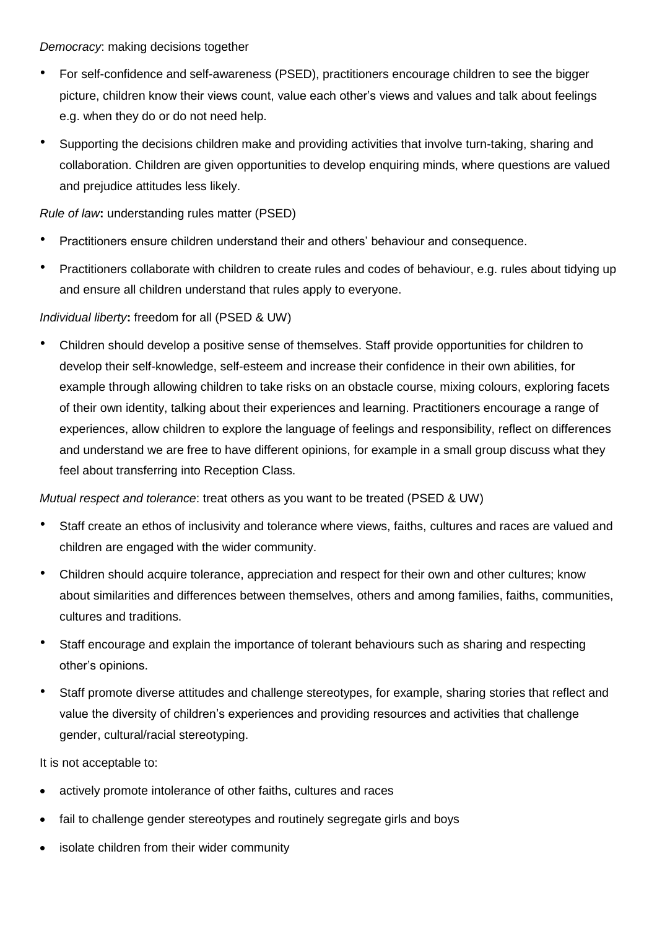*Democracy*: making decisions together

- For self-confidence and self-awareness (PSED), practitioners encourage children to see the bigger picture, children know their views count, value each other's views and values and talk about feelings e.g. when they do or do not need help.
- Supporting the decisions children make and providing activities that involve turn-taking, sharing and collaboration. Children are given opportunities to develop enquiring minds, where questions are valued and prejudice attitudes less likely.

*Rule of law***:** understanding rules matter (PSED)

- Practitioners ensure children understand their and others' behaviour and consequence.
- Practitioners collaborate with children to create rules and codes of behaviour, e.g. rules about tidying up and ensure all children understand that rules apply to everyone.

## *Individual liberty***:** freedom for all (PSED & UW)

• Children should develop a positive sense of themselves. Staff provide opportunities for children to develop their self-knowledge, self-esteem and increase their confidence in their own abilities, for example through allowing children to take risks on an obstacle course, mixing colours, exploring facets of their own identity, talking about their experiences and learning. Practitioners encourage a range of experiences, allow children to explore the language of feelings and responsibility, reflect on differences and understand we are free to have different opinions, for example in a small group discuss what they feel about transferring into Reception Class.

*Mutual respect and tolerance*: treat others as you want to be treated (PSED & UW)

- Staff create an ethos of inclusivity and tolerance where views, faiths, cultures and races are valued and children are engaged with the wider community.
- Children should acquire tolerance, appreciation and respect for their own and other cultures; know about similarities and differences between themselves, others and among families, faiths, communities, cultures and traditions.
- Staff encourage and explain the importance of tolerant behaviours such as sharing and respecting other's opinions.
- Staff promote diverse attitudes and challenge stereotypes, for example, sharing stories that reflect and value the diversity of children's experiences and providing resources and activities that challenge gender, cultural/racial stereotyping.

It is not acceptable to:

- actively promote intolerance of other faiths, cultures and races
- fail to challenge gender stereotypes and routinely segregate girls and boys
- isolate children from their wider community